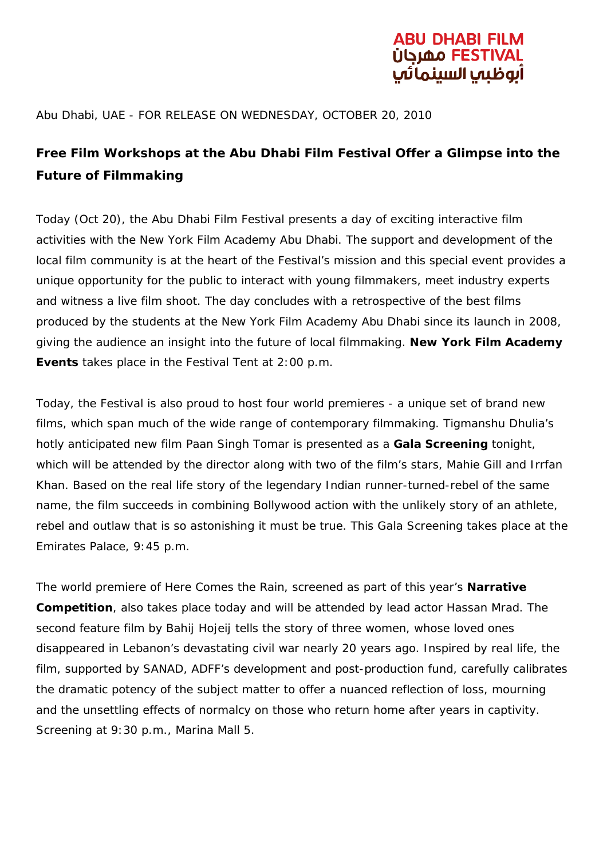# BU DHABI FILM الوظيما السينمائ

#### Abu Dhabi, UAE - FOR RELEASE ON WEDNESDAY, OCTOBER 20, 2010

## **Free Film Workshops at the Abu Dhabi Film Festival Offer a Glimpse into the Future of Filmmaking**

Today (Oct 20), the Abu Dhabi Film Festival presents a day of exciting interactive film activities with the New York Film Academy Abu Dhabi. The support and development of the local film community is at the heart of the Festival's mission and this special event provides a unique opportunity for the public to interact with young filmmakers, meet industry experts and witness a live film shoot. The day concludes with a retrospective of the best films produced by the students at the New York Film Academy Abu Dhabi since its launch in 2008, giving the audience an insight into the future of local filmmaking. **New York Film Academy Events** takes place in the *Festival Tent* at 2:00 p.m.

Today, the Festival is also proud to host four world premieres - a unique set of brand new films, which span much of the wide range of contemporary filmmaking. Tigmanshu Dhulia's hotly anticipated new film *Paan Singh Tomar* is presented as a **Gala Screening** tonight, which will be attended by the director along with two of the film's stars, Mahie Gill and Irrfan Khan. Based on the real life story of the legendary Indian runner-turned-rebel of the same name, the film succeeds in combining Bollywood action with the unlikely story of an athlete, rebel and outlaw that is so astonishing it must be true. This Gala Screening takes place at the Emirates Palace, 9:45 p.m.

The world premiere of *Here Comes the Rain*, screened as part of this year's **Narrative Competition**, also takes place today and will be attended by lead actor Hassan Mrad. The second feature film by Bahij Hojeij tells the story of three women, whose loved ones disappeared in Lebanon's devastating civil war nearly 20 years ago. Inspired by real life, the film, supported by SANAD, ADFF's development and post-production fund, carefully calibrates the dramatic potency of the subject matter to offer a nuanced reflection of loss, mourning and the unsettling effects of normalcy on those who return home after years in captivity. Screening at 9:30 p.m., Marina Mall 5.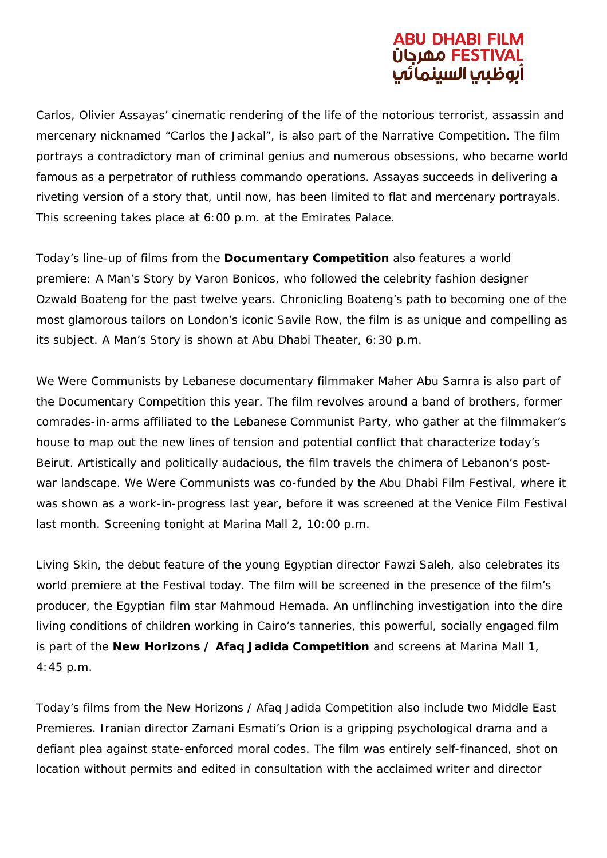### BU DHABI FILM <u>ÜGLAO FEST</u> آىوظىب السىنمائ

*Carlos*, Olivier Assayas' cinematic rendering of the life of the notorious terrorist, assassin and mercenary nicknamed "Carlos the Jackal", is also part of the Narrative Competition. The film portrays a contradictory man of criminal genius and numerous obsessions, who became world famous as a perpetrator of ruthless commando operations. Assayas succeeds in delivering a riveting version of a story that, until now, has been limited to flat and mercenary portrayals. This screening takes place at 6:00 p.m. at the Emirates Palace.

Today's line-up of films from the **Documentary Competition** also features a world premiere: *A Man's Story* by Varon Bonicos, who followed the celebrity fashion designer Ozwald Boateng for the past twelve years. Chronicling Boateng's path to becoming one of the most glamorous tailors on London's iconic Savile Row, the film is as unique and compelling as its subject. *A Man's Story* is shown at Abu Dhabi Theater, 6:30 p.m.

*We Were Communists* by Lebanese documentary filmmaker Maher Abu Samra is also part of the Documentary Competition this year. The film revolves around a band of brothers, former comrades-in-arms affiliated to the Lebanese Communist Party, who gather at the filmmaker's house to map out the new lines of tension and potential conflict that characterize today's Beirut. Artistically and politically audacious, the film travels the chimera of Lebanon's postwar landscape. *We Were Communists* was co-funded by the Abu Dhabi Film Festival, where it was shown as a work-in-progress last year, before it was screened at the Venice Film Festival last month. Screening tonight at Marina Mall 2, 10:00 p.m.

*Living Skin*, the debut feature of the young Egyptian director Fawzi Saleh, also celebrates its world premiere at the Festival today. The film will be screened in the presence of the film's producer, the Egyptian film star Mahmoud Hemada. An unflinching investigation into the dire living conditions of children working in Cairo's tanneries, this powerful, socially engaged film is part of the **New Horizons / Afaq Jadida Competition** and screens at Marina Mall 1, 4:45 p.m.

Today's films from the New Horizons / Afaq Jadida Competition also include two Middle East Premieres. Iranian director Zamani Esmati's *Orion* is a gripping psychological drama and a defiant plea against state-enforced moral codes. The film was entirely self-financed, shot on location without permits and edited in consultation with the acclaimed writer and director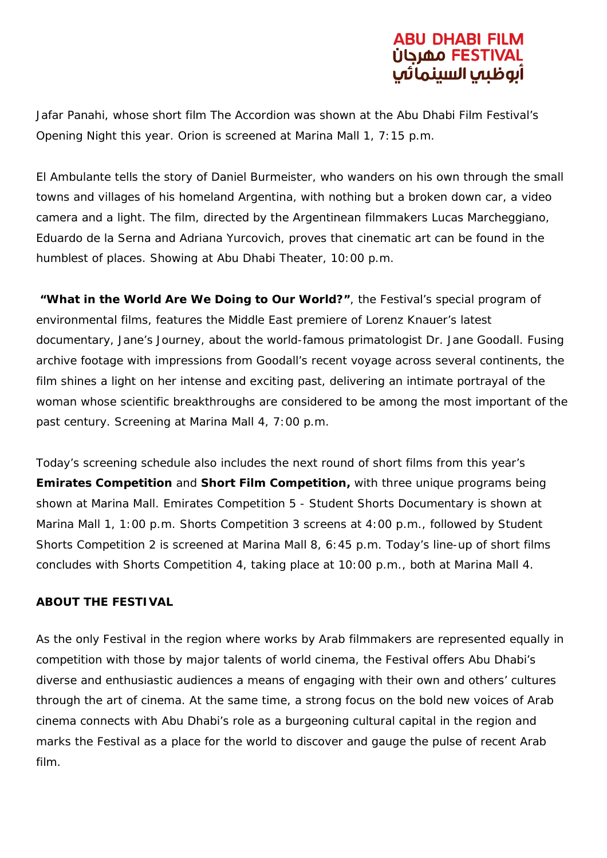# BU DHABI FILM الوظيما السينما

Jafar Panahi, whose short film *The Accordion* was shown at the Abu Dhabi Film Festival's Opening Night this year. *Orion* is screened at Marina Mall 1, 7:15 p.m.

*El Ambulante* tells the story of Daniel Burmeister, who wanders on his own through the small towns and villages of his homeland Argentina, with nothing but a broken down car, a video camera and a light. The film, directed by the Argentinean filmmakers Lucas Marcheggiano, Eduardo de la Serna and Adriana Yurcovich, proves that cinematic art can be found in the humblest of places. Showing at Abu Dhabi Theater, 10:00 p.m.

**"What in the World Are We Doing to Our World?"**, the Festival's special program of environmental films, features the Middle East premiere of Lorenz Knauer's latest documentary, *Jane's Journey*, about the world-famous primatologist Dr. Jane Goodall. Fusing archive footage with impressions from Goodall's recent voyage across several continents, the film shines a light on her intense and exciting past, delivering an intimate portrayal of the woman whose scientific breakthroughs are considered to be among the most important of the past century. Screening at Marina Mall 4, 7:00 p.m.

Today's screening schedule also includes the next round of short films from this year's **Emirates Competition** and **Short Film Competition,** with three unique programs being shown at Marina Mall. *Emirates Competition 5 - Student Shorts Documentary* is shown at Marina Mall 1, 1:00 p.m. *Shorts Competition 3* screens at 4:00 p.m., followed by *Student Shorts Competition 2* is screened at Marina Mall 8, 6:45 p.m. Today's line-up of short films concludes with *Shorts Competition 4*, taking place at 10:00 p.m., both at Marina Mall 4.

#### **ABOUT THE FESTIVAL**

As the only Festival in the region where works by Arab filmmakers are represented equally in competition with those by major talents of world cinema, the Festival offers Abu Dhabi's diverse and enthusiastic audiences a means of engaging with their own and others' cultures through the art of cinema. At the same time, a strong focus on the bold new voices of Arab cinema connects with Abu Dhabi's role as a burgeoning cultural capital in the region and marks the Festival as a place for the world to discover and gauge the pulse of recent Arab film.